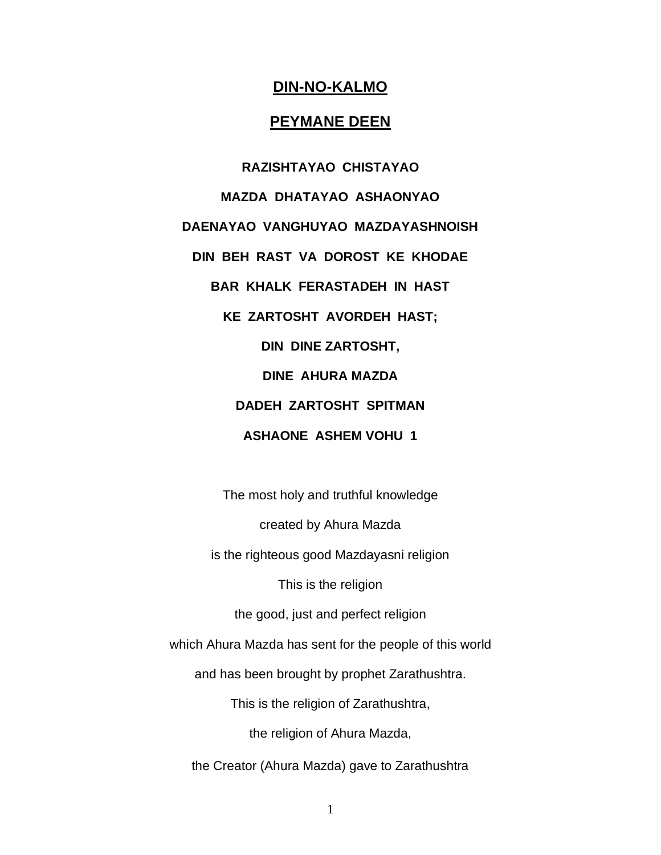# **DIN-NO-KALMO**

#### **PEYMANE DEEN**

**RAZISHTAYAO CHISTAYAO MAZDA DHATAYAO ASHAONYAO DAENAYAO VANGHUYAO MAZDAYASHNOISH DIN BEH RAST VA DOROST KE KHODAE BAR KHALK FERASTADEH IN HAST KE ZARTOSHT AVORDEH HAST; DIN DINE ZARTOSHT, DINE AHURA MAZDA DADEH ZARTOSHT SPITMAN ASHAONE ASHEM VOHU 1**

The most holy and truthful knowledge

created by Ahura Mazda

is the righteous good Mazdayasni religion

This is the religion

the good, just and perfect religion

which Ahura Mazda has sent for the people of this world

and has been brought by prophet Zarathushtra.

This is the religion of Zarathushtra,

the religion of Ahura Mazda,

the Creator (Ahura Mazda) gave to Zarathushtra

1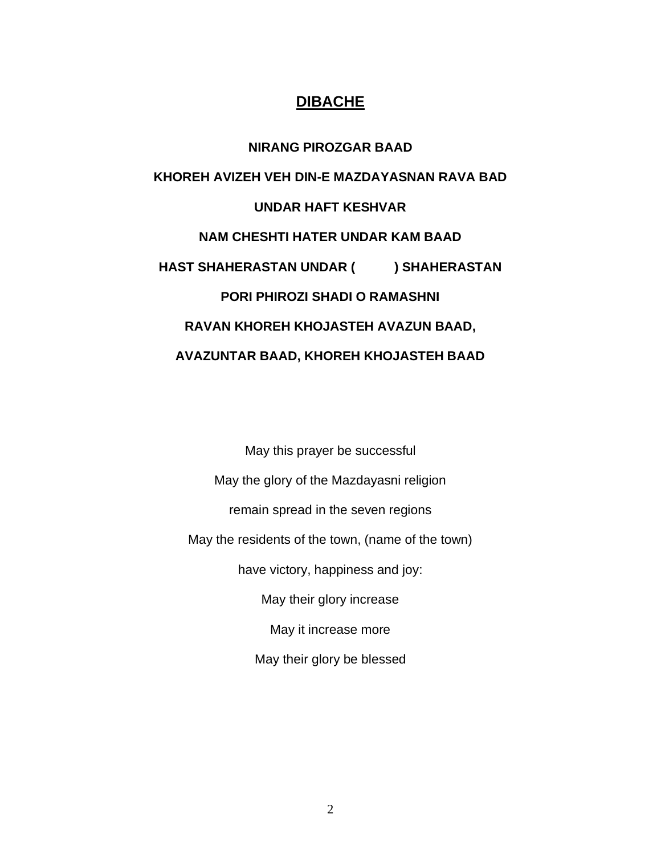# **DIBACHE**

**NIRANG PIROZGAR BAAD KHOREH AVIZEH VEH DIN-E MAZDAYASNAN RAVA BAD UNDAR HAFT KESHVAR NAM CHESHTI HATER UNDAR KAM BAAD HAST SHAHERASTAN UNDAR ( ) SHAHERASTAN PORI PHIROZI SHADI O RAMASHNI RAVAN KHOREH KHOJASTEH AVAZUN BAAD, AVAZUNTAR BAAD, KHOREH KHOJASTEH BAAD**

May this prayer be successful May the glory of the Mazdayasni religion remain spread in the seven regions May the residents of the town, (name of the town) have victory, happiness and joy: May their glory increase May it increase more May their glory be blessed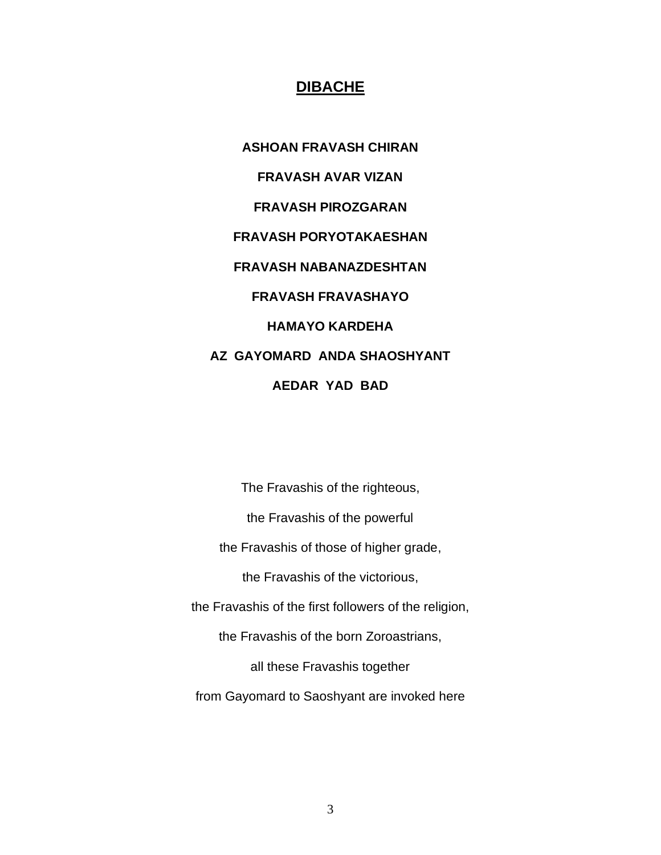#### **DIBACHE**

**ASHOAN FRAVASH CHIRAN FRAVASH AVAR VIZAN FRAVASH PIROZGARAN FRAVASH PORYOTAKAESHAN FRAVASH NABANAZDESHTAN FRAVASH FRAVASHAYO HAMAYO KARDEHA AZ GAYOMARD ANDA SHAOSHYANT AEDAR YAD BAD**

The Fravashis of the righteous, the Fravashis of the powerful the Fravashis of those of higher grade, the Fravashis of the victorious, the Fravashis of the first followers of the religion, the Fravashis of the born Zoroastrians, all these Fravashis together from Gayomard to Saoshyant are invoked here

3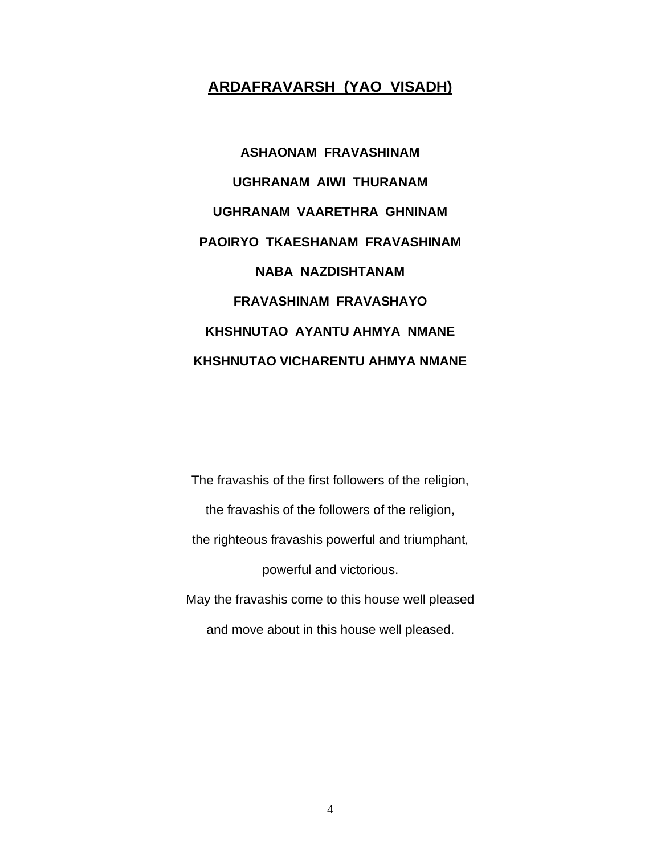# **ARDAFRAVARSH (YAO VISADH)**

**ASHAONAM FRAVASHINAM UGHRANAM AIWI THURANAM UGHRANAM VAARETHRA GHNINAM PAOIRYO TKAESHANAM FRAVASHINAM NABA NAZDISHTANAM FRAVASHINAM FRAVASHAYO KHSHNUTAO AYANTU AHMYA NMANE KHSHNUTAO VICHARENTU AHMYA NMANE** 

The fravashis of the first followers of the religion, the fravashis of the followers of the religion, the righteous fravashis powerful and triumphant, powerful and victorious. May the fravashis come to this house well pleased and move about in this house well pleased.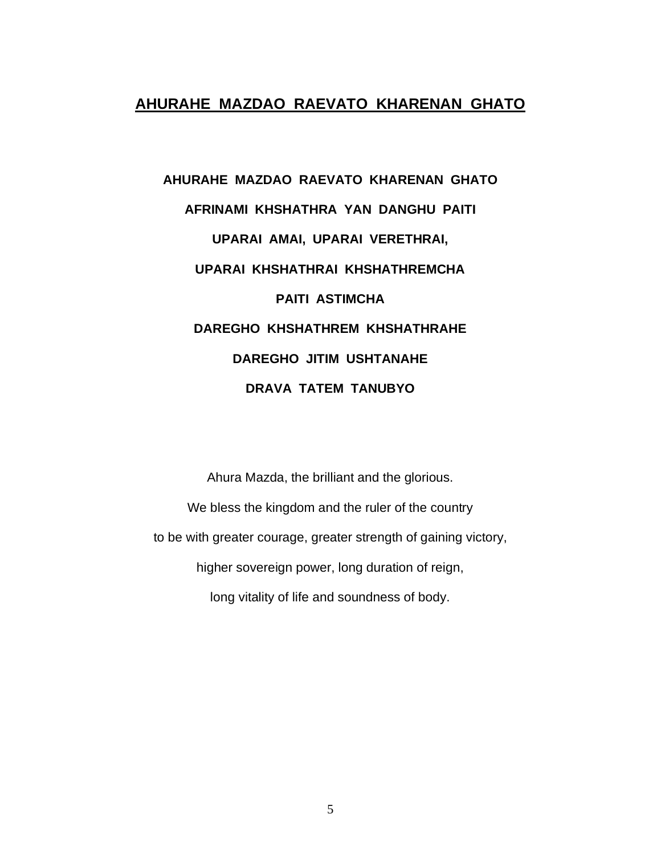# **AHURAHE MAZDAO RAEVATO KHARENAN GHATO**

# **AHURAHE MAZDAO RAEVATO KHARENAN GHATO AFRINAMI KHSHATHRA YAN DANGHU PAITI UPARAI AMAI, UPARAI VERETHRAI, UPARAI KHSHATHRAI KHSHATHREMCHA PAITI ASTIMCHA DAREGHO KHSHATHREM KHSHATHRAHE DAREGHO JITIM USHTANAHE DRAVA TATEM TANUBYO**

Ahura Mazda, the brilliant and the glorious. We bless the kingdom and the ruler of the country to be with greater courage, greater strength of gaining victory, higher sovereign power, long duration of reign, long vitality of life and soundness of body.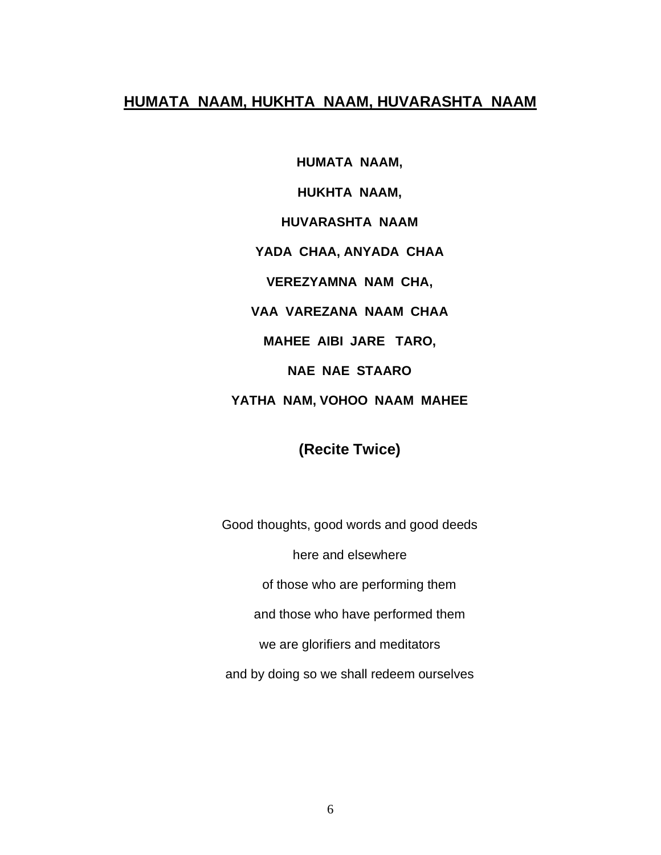## **HUMATA NAAM, HUKHTA NAAM, HUVARASHTA NAAM**

**HUMATA NAAM, HUKHTA NAAM, HUVARASHTA NAAM YADA CHAA, ANYADA CHAA VEREZYAMNA NAM CHA, VAA VAREZANA NAAM CHAA MAHEE AIBI JARE TARO, NAE NAE STAARO YATHA NAM, VOHOO NAAM MAHEE**

# **(Recite Twice)**

Good thoughts, good words and good deeds here and elsewhere of those who are performing them and those who have performed them we are glorifiers and meditators and by doing so we shall redeem ourselves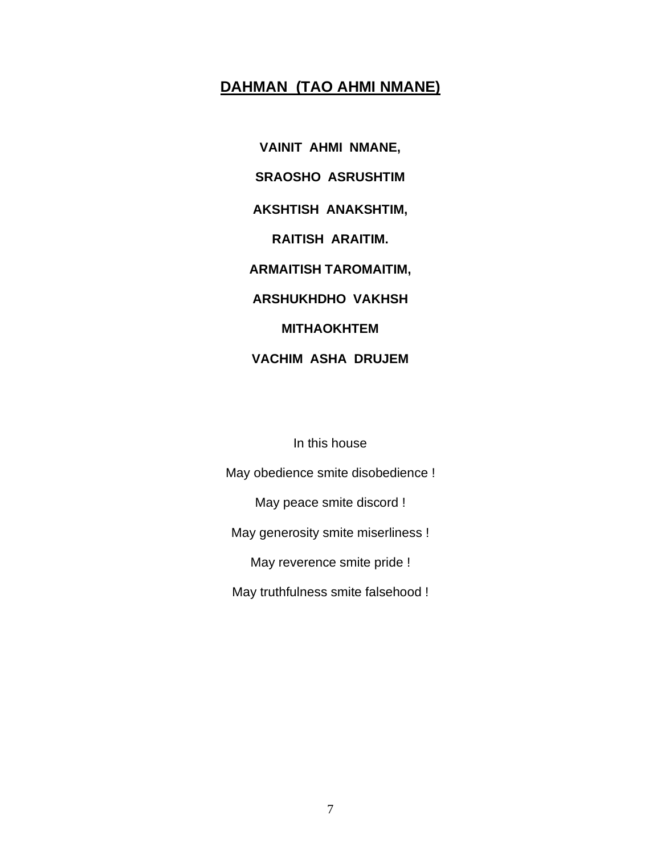# **DAHMAN (TAO AHMI NMANE)**

**VAINIT AHMI NMANE, SRAOSHO ASRUSHTIM AKSHTISH ANAKSHTIM, RAITISH ARAITIM. ARMAITISH TAROMAITIM, ARSHUKHDHO VAKHSH MITHAOKHTEM VACHIM ASHA DRUJEM**

In this house

May obedience smite disobedience ! May peace smite discord ! May generosity smite miserliness ! May reverence smite pride ! May truthfulness smite falsehood !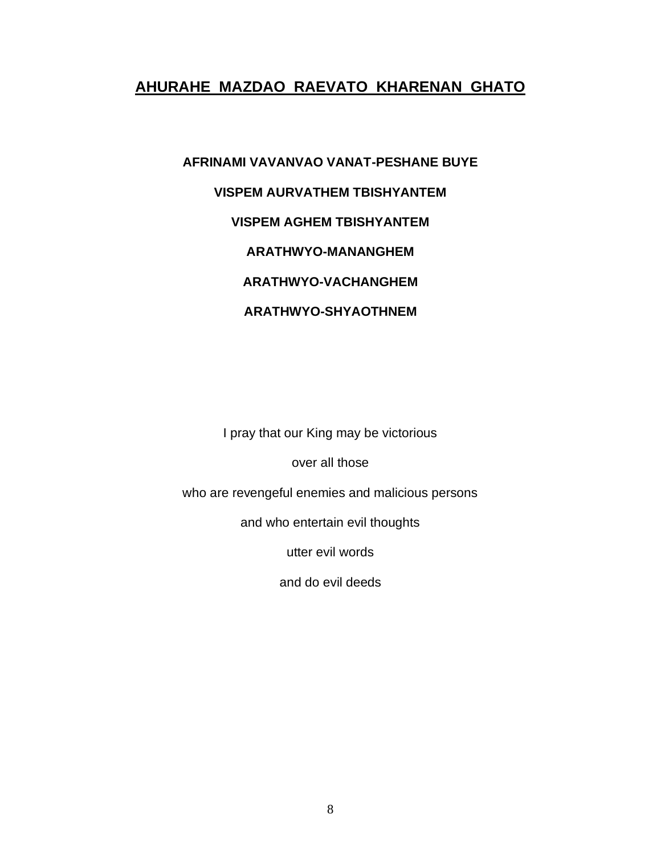# **AHURAHE MAZDAO RAEVATO KHARENAN GHATO**

# **AFRINAMI VAVANVAO VANAT-PESHANE BUYE VISPEM AURVATHEM TBISHYANTEM VISPEM AGHEM TBISHYANTEM ARATHWYO-MANANGHEM ARATHWYO-VACHANGHEM ARATHWYO-SHYAOTHNEM**

I pray that our King may be victorious

over all those

who are revengeful enemies and malicious persons

and who entertain evil thoughts

utter evil words

and do evil deeds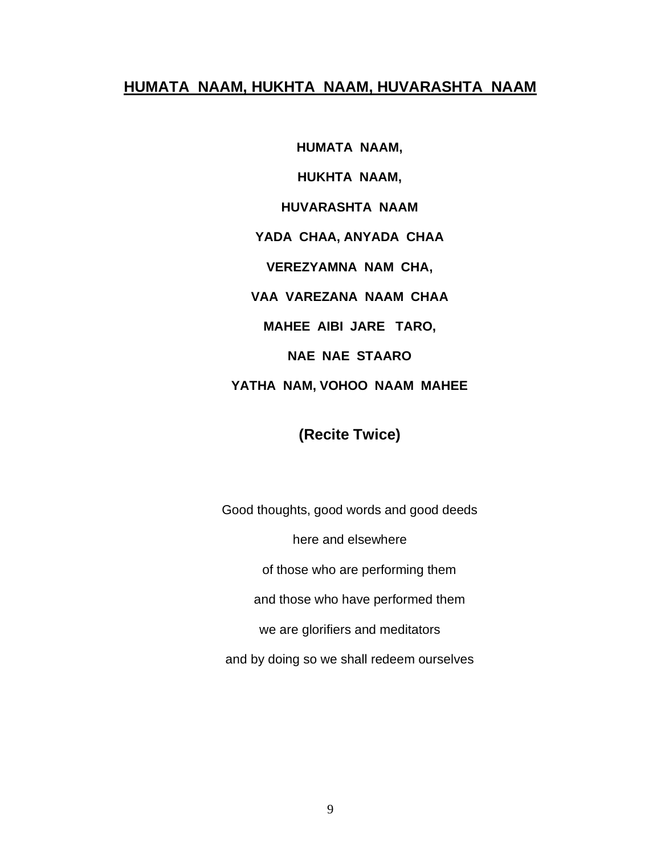#### **HUMATA NAAM, HUKHTA NAAM, HUVARASHTA NAAM**

**HUMATA NAAM, HUKHTA NAAM, HUVARASHTA NAAM YADA CHAA, ANYADA CHAA VEREZYAMNA NAM CHA, VAA VAREZANA NAAM CHAA MAHEE AIBI JARE TARO, NAE NAE STAARO**

# **YATHA NAM, VOHOO NAAM MAHEE**

# **(Recite Twice)**

Good thoughts, good words and good deeds here and elsewhere of those who are performing them and those who have performed them we are glorifiers and meditators and by doing so we shall redeem ourselves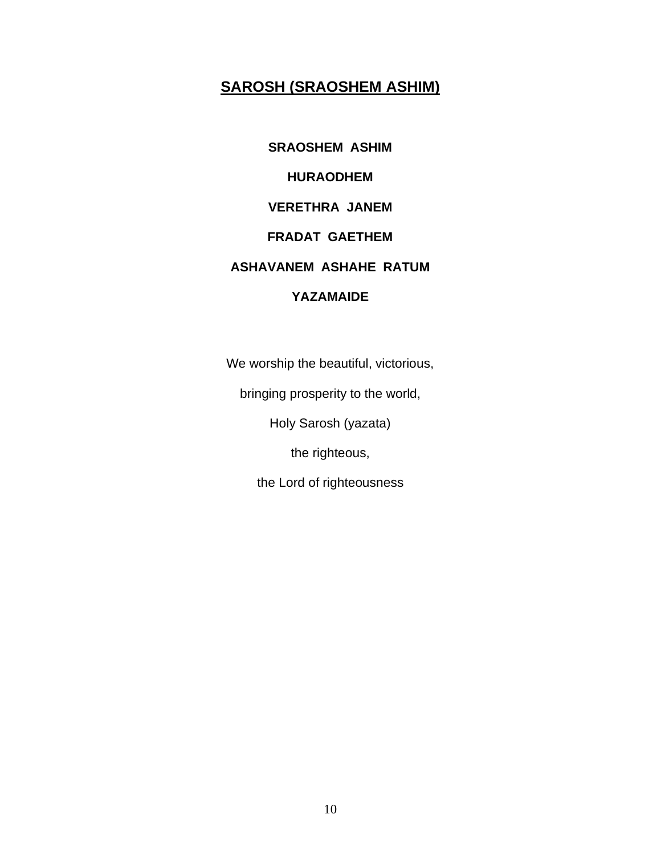# **SAROSH (SRAOSHEM ASHIM)**

**SRAOSHEM ASHIM HURAODHEM VERETHRA JANEM FRADAT GAETHEM ASHAVANEM ASHAHE RATUM YAZAMAIDE**

We worship the beautiful, victorious,

bringing prosperity to the world,

Holy Sarosh (yazata)

the righteous,

the Lord of righteousness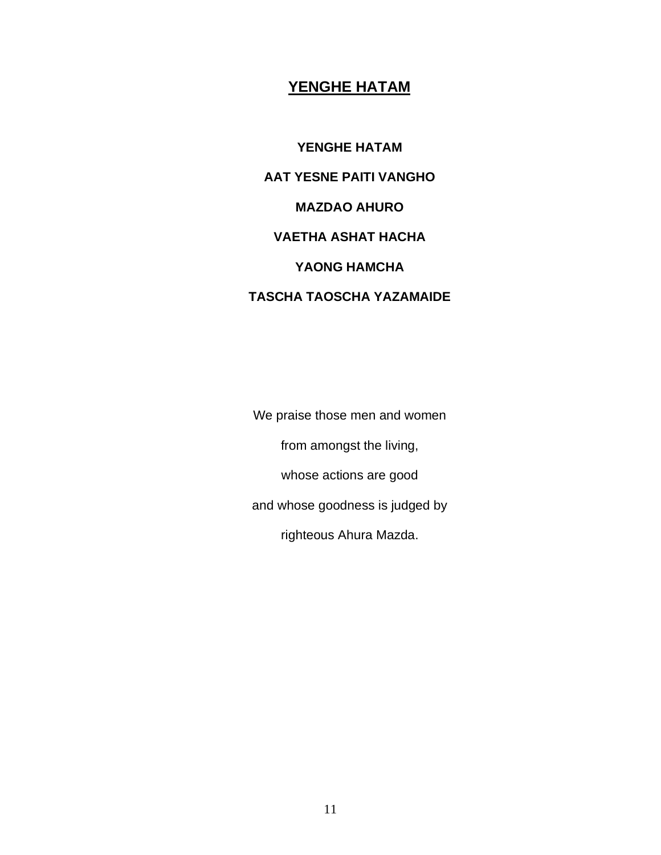# **YENGHE HATAM**

**YENGHE HATAM AAT YESNE PAITI VANGHO MAZDAO AHURO VAETHA ASHAT HACHA YAONG HAMCHA TASCHA TAOSCHA YAZAMAIDE**

We praise those men and women from amongst the living, whose actions are good and whose goodness is judged by righteous Ahura Mazda.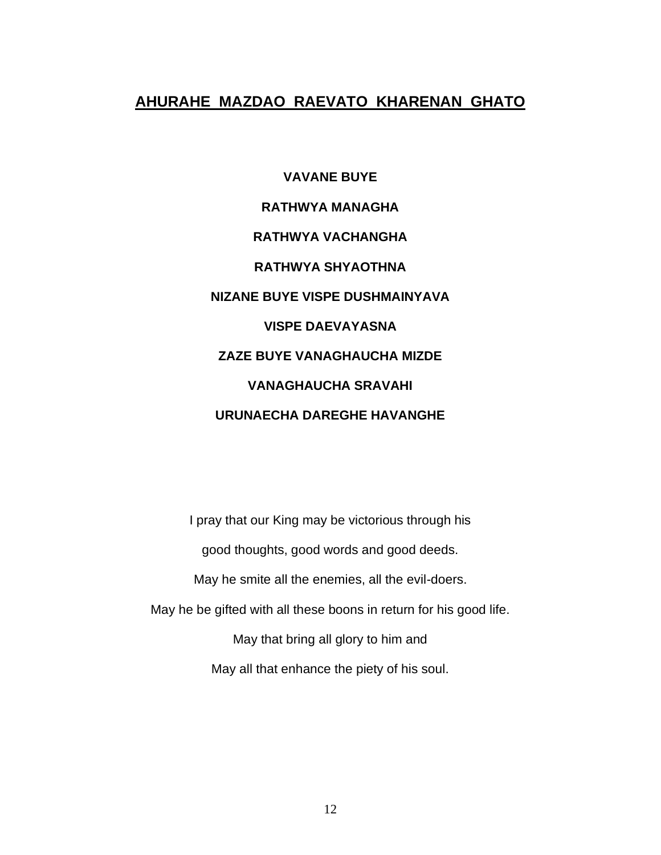# **AHURAHE MAZDAO RAEVATO KHARENAN GHATO**

**VAVANE BUYE RATHWYA MANAGHA RATHWYA VACHANGHA RATHWYA SHYAOTHNA NIZANE BUYE VISPE DUSHMAINYAVA VISPE DAEVAYASNA ZAZE BUYE VANAGHAUCHA MIZDE VANAGHAUCHA SRAVAHI URUNAECHA DAREGHE HAVANGHE**

I pray that our King may be victorious through his good thoughts, good words and good deeds. May he smite all the enemies, all the evil-doers. May he be gifted with all these boons in return for his good life. May that bring all glory to him and May all that enhance the piety of his soul.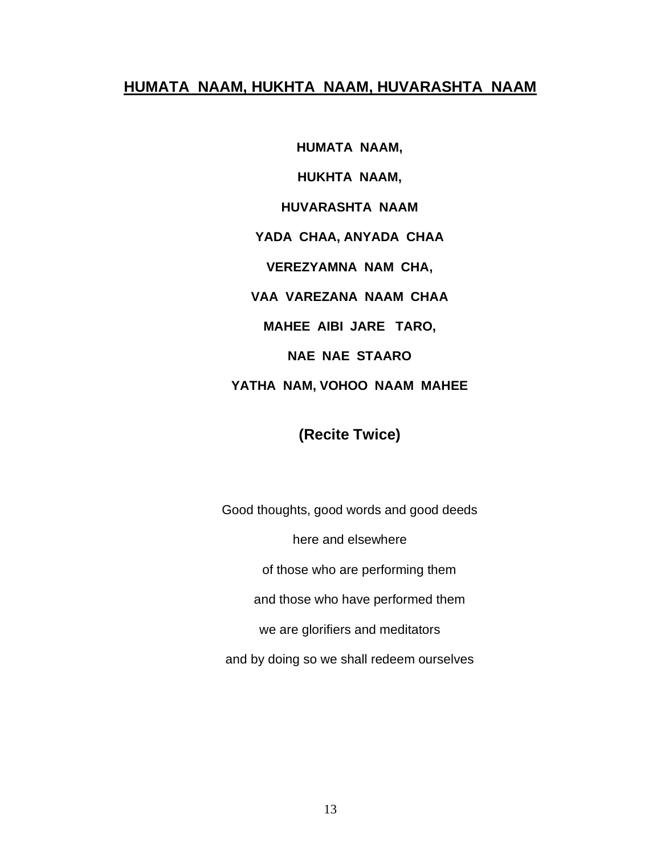#### **HUMATA NAAM, HUKHTA NAAM, HUVARASHTA NAAM**

**HUMATA NAAM, HUKHTA NAAM, HUVARASHTA NAAM YADA CHAA, ANYADA CHAA VEREZYAMNA NAM CHA, VAA VAREZANA NAAM CHAA MAHEE AIBI JARE TARO, NAE NAE STAARO**

# **YATHA NAM, VOHOO NAAM MAHEE**

# **(Recite Twice)**

Good thoughts, good words and good deeds here and elsewhere of those who are performing them and those who have performed them we are glorifiers and meditators and by doing so we shall redeem ourselves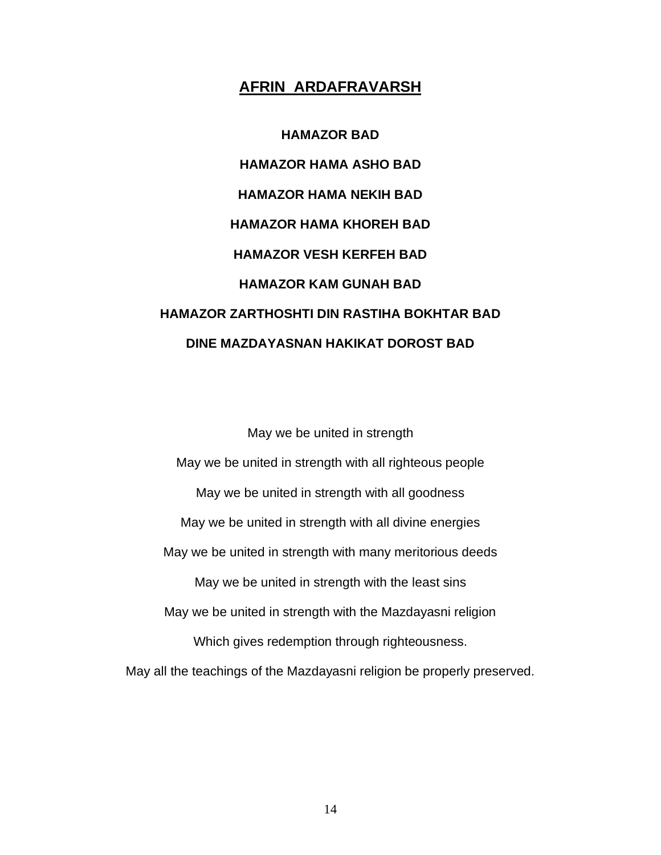#### **AFRIN ARDAFRAVARSH**

**HAMAZOR BAD HAMAZOR HAMA ASHO BAD HAMAZOR HAMA NEKIH BAD HAMAZOR HAMA KHOREH BAD HAMAZOR VESH KERFEH BAD HAMAZOR KAM GUNAH BAD HAMAZOR ZARTHOSHTI DIN RASTIHA BOKHTAR BAD DINE MAZDAYASNAN HAKIKAT DOROST BAD**

May we be united in strength May we be united in strength with all righteous people May we be united in strength with all goodness May we be united in strength with all divine energies May we be united in strength with many meritorious deeds May we be united in strength with the least sins May we be united in strength with the Mazdayasni religion Which gives redemption through righteousness. May all the teachings of the Mazdayasni religion be properly preserved.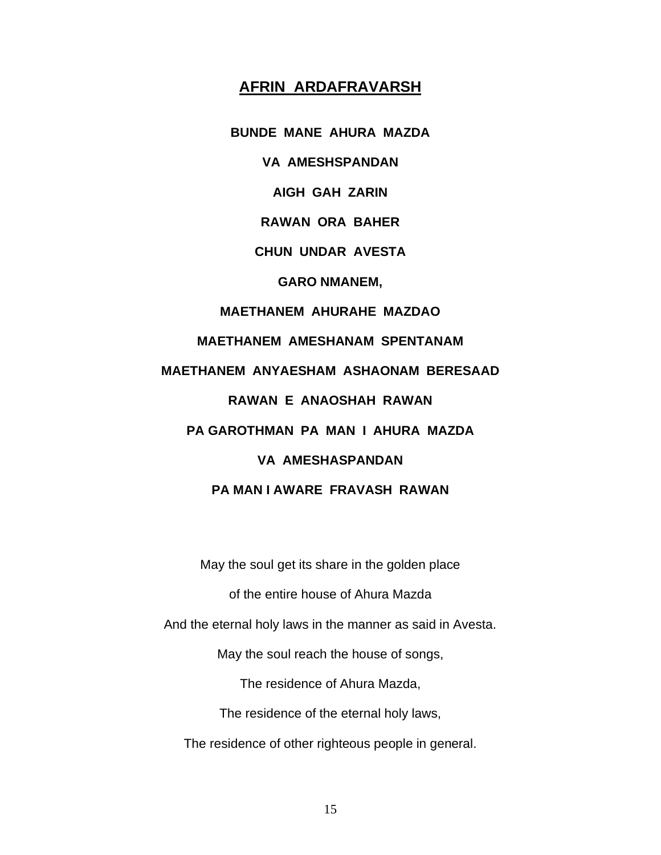#### **AFRIN ARDAFRAVARSH**

**BUNDE MANE AHURA MAZDA VA AMESHSPANDAN AIGH GAH ZARIN RAWAN ORA BAHER CHUN UNDAR AVESTA GARO NMANEM, MAETHANEM AHURAHE MAZDAO MAETHANEM AMESHANAM SPENTANAM MAETHANEM ANYAESHAM ASHAONAM BERESAAD RAWAN E ANAOSHAH RAWAN PA GAROTHMAN PA MAN I AHURA MAZDA VA AMESHASPANDAN PA MAN I AWARE FRAVASH RAWAN**

May the soul get its share in the golden place of the entire house of Ahura Mazda And the eternal holy laws in the manner as said in Avesta. May the soul reach the house of songs, The residence of Ahura Mazda, The residence of the eternal holy laws, The residence of other righteous people in general.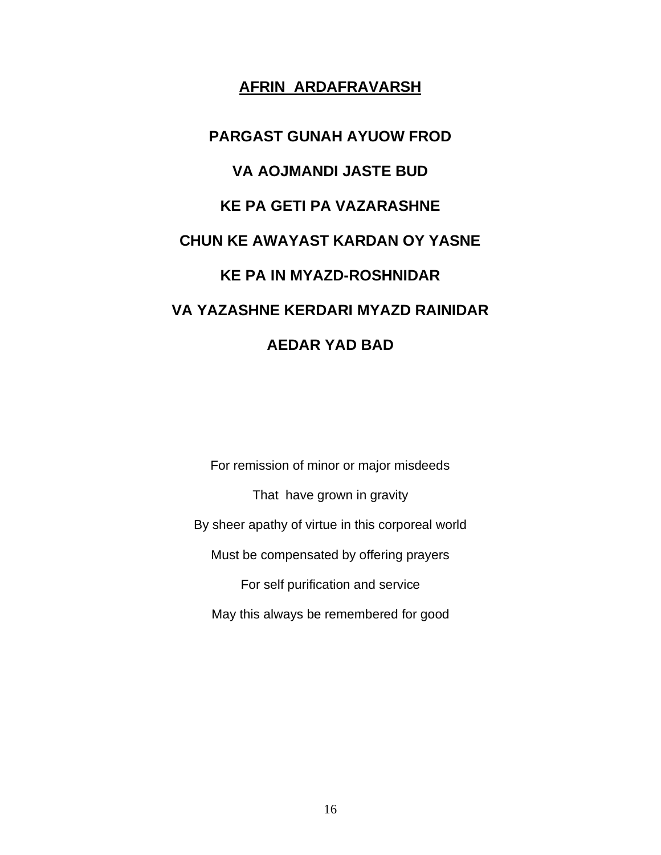## **AFRIN ARDAFRAVARSH**

**PARGAST GUNAH AYUOW FROD VA AOJMANDI JASTE BUD KE PA GETI PA VAZARASHNE CHUN KE AWAYAST KARDAN OY YASNE KE PA IN MYAZD-ROSHNIDAR VA YAZASHNE KERDARI MYAZD RAINIDAR AEDAR YAD BAD**

For remission of minor or major misdeeds That have grown in gravity By sheer apathy of virtue in this corporeal world Must be compensated by offering prayers For self purification and service May this always be remembered for good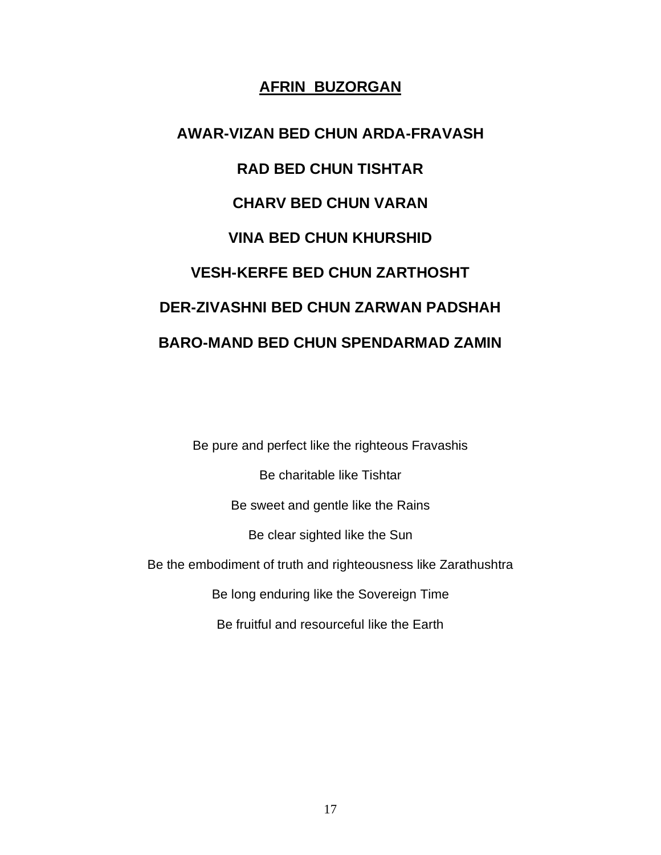## **AFRIN BUZORGAN**

**AWAR-VIZAN BED CHUN ARDA-FRAVASH RAD BED CHUN TISHTAR CHARV BED CHUN VARAN VINA BED CHUN KHURSHID VESH-KERFE BED CHUN ZARTHOSHT DER-ZIVASHNI BED CHUN ZARWAN PADSHAH BARO-MAND BED CHUN SPENDARMAD ZAMIN**

Be pure and perfect like the righteous Fravashis Be charitable like Tishtar Be sweet and gentle like the Rains Be clear sighted like the Sun Be the embodiment of truth and righteousness like Zarathushtra Be long enduring like the Sovereign Time Be fruitful and resourceful like the Earth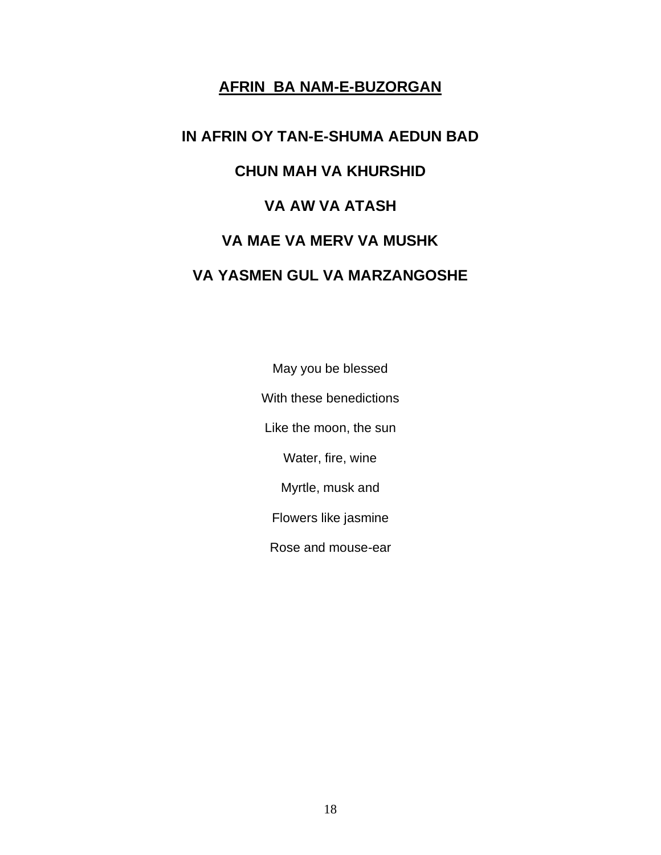# **AFRIN BA NAM-E-BUZORGAN**

# **IN AFRIN OY TAN-E-SHUMA AEDUN BAD CHUN MAH VA KHURSHID VA AW VA ATASH VA MAE VA MERV VA MUSHK VA YASMEN GUL VA MARZANGOSHE**

May you be blessed With these benedictions Like the moon, the sun Water, fire, wine Myrtle, musk and Flowers like jasmine Rose and mouse-ear